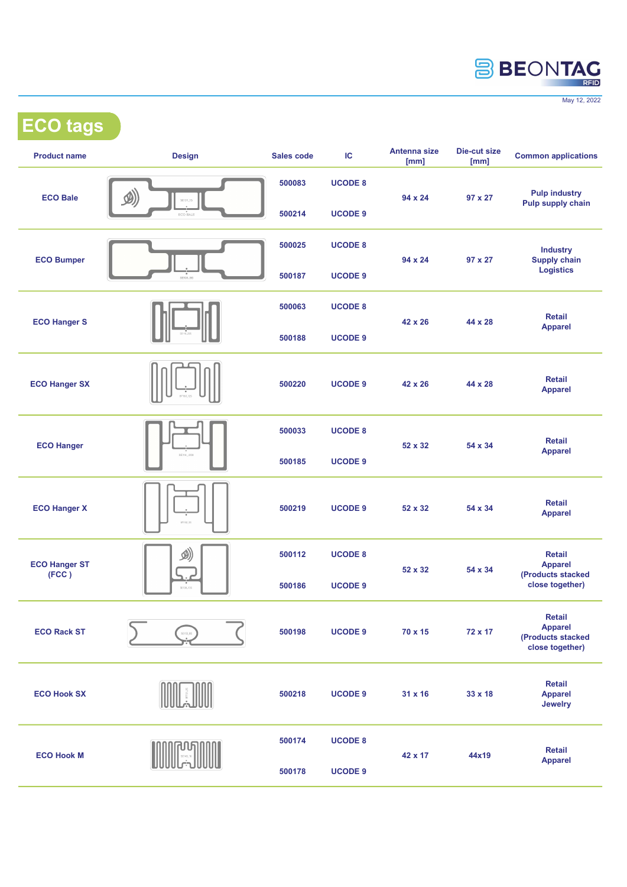

May 12, 2022

ECO tags

| <b>Product name</b>  | <b>Design</b>                         | Sales code | IC             | Antenna size<br>[mm] | Die-cut size<br>[mm] | <b>Common applications</b>                                 |
|----------------------|---------------------------------------|------------|----------------|----------------------|----------------------|------------------------------------------------------------|
| <b>ECO Bale</b>      | $\mathcal{D}$<br>SE131_15<br>ECO BALE | 500083     | <b>UCODE 8</b> |                      | $97 \times 27$       | <b>Pulp industry</b><br>Pulp supply chain                  |
|                      |                                       | 500214     | <b>UCODE 9</b> | 94 x 24              |                      |                                                            |
| <b>ECO Bumper</b>    | $SEOB$ 98                             | 500025     | <b>UCODE 8</b> |                      | 97 x 27              | <b>Industry</b><br><b>Supply chain</b><br><b>Logistics</b> |
|                      |                                       | 500187     | <b>UCODE 9</b> | 94 x 24              |                      |                                                            |
| <b>ECO Hanger S</b>  |                                       | 500063     | <b>UCODE 8</b> | 42 x 26              | 44 x 28              | <b>Retail</b><br><b>Apparel</b>                            |
|                      |                                       | 500188     | <b>UCODE 9</b> |                      |                      |                                                            |
| <b>ECO Hanger SX</b> |                                       |            | <b>UCODE 9</b> |                      | 44 x 28              | <b>Retail</b><br><b>Apparel</b>                            |
|                      |                                       | 500220     |                | 42 x 26              |                      |                                                            |
| <b>ECO Hanger</b>    | SE114 205                             | 500033     | <b>UCODE 8</b> |                      | 54 x 34              | <b>Retail</b><br><b>Apparel</b>                            |
|                      |                                       | 500185     | <b>UCODE 9</b> | 52 x 32              |                      |                                                            |
| <b>ECO Hanger X</b>  | BT152.35                              | 500219     | <b>UCODE 9</b> | 52 x 32              | 54 x 34              | <b>Retail</b><br><b>Apparel</b>                            |
|                      |                                       |            |                |                      |                      |                                                            |
| 500186               | <b>UCODE 9</b>                        | 52 x 32    |                |                      |                      |                                                            |
| <b>ECO Rack ST</b>   | 5E153,85                              | 500198     | <b>UCODE 9</b> |                      | 72 x 17              | Retail<br><b>Apparel</b>                                   |
|                      |                                       |            |                | 70 x 15              |                      | (Products stacked<br>close together)                       |
| <b>ECO Hook SX</b>   |                                       | 500218     | <b>UCODE 9</b> | 31 x 16              | 33 x 18              | Retail<br><b>Apparel</b><br><b>Jewelry</b>                 |
|                      |                                       |            |                |                      |                      |                                                            |
| 500178               | <b>UCODE 9</b>                        | 42 x 17    |                |                      |                      |                                                            |